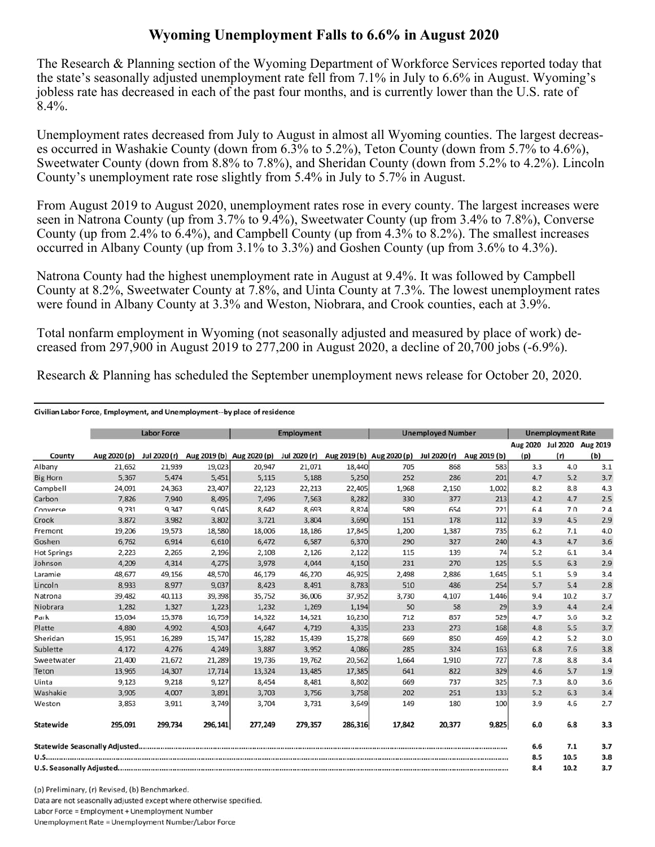## **Wyoming Unemployment Falls to 6.6% in August 2020**

The Research & Planning section of the Wyoming Department of Workforce Services reported today that the state's seasonally adjusted unemployment rate fell from 7.1% in July to 6.6% in August. Wyoming's jobless rate has decreased in each of the past four months, and is currently lower than the U.S. rate of 8.4%.

Unemployment rates decreased from July to August in almost all Wyoming counties. The largest decreases occurred in Washakie County (down from 6.3% to 5.2%), Teton County (down from 5.7% to 4.6%), Sweetwater County (down from 8.8% to 7.8%), and Sheridan County (down from 5.2% to 4.2%). Lincoln County's unemployment rate rose slightly from 5.4% in July to 5.7% in August.

From August 2019 to August 2020, unemployment rates rose in every county. The largest increases were seen in Natrona County (up from 3.7% to 9.4%), Sweetwater County (up from 3.4% to 7.8%), Converse County (up from 2.4% to 6.4%), and Campbell County (up from 4.3% to 8.2%). The smallest increases occurred in Albany County (up from 3.1% to 3.3%) and Goshen County (up from 3.6% to 4.3%).

Natrona County had the highest unemployment rate in August at 9.4%. It was followed by Campbell County at 8.2%, Sweetwater County at 7.8%, and Uinta County at 7.3%. The lowest unemployment rates were found in Albany County at 3.3% and Weston, Niobrara, and Crook counties, each at 3.9%.

Total nonfarm employment in Wyoming (not seasonally adjusted and measured by place of work) decreased from 297,900 in August 2019 to 277,200 in August 2020, a decline of 20,700 jobs (-6.9%).

Research & Planning has scheduled the September unemployment news release for October 20, 2020.

|                          | <b>Labor Force</b> |              |         | <b>Employment</b>                      |         |                           | <b>Unemployed Number</b> |              |              | <b>Unemployment Rate</b> |      |                            |
|--------------------------|--------------------|--------------|---------|----------------------------------------|---------|---------------------------|--------------------------|--------------|--------------|--------------------------|------|----------------------------|
|                          |                    |              |         |                                        |         |                           |                          |              |              |                          |      | Aug 2020 Jul 2020 Aug 2019 |
| County                   | Aug 2020 (p)       | Jul 2020 (r) |         | Aug 2019 (b) Aug 2020 (p) Jul 2020 (r) |         | Aug 2019 (b) Aug 2020 (p) |                          | Jul 2020 (r) | Aug 2019 (b) | (p)                      | (r)  | (b)                        |
| Albany                   | 21,652             | 21,939       | 19,023  | 20,947                                 | 21,071  | 18,440                    | 705                      | 868          | 583          | 3.3                      | 4.0  | 3.1                        |
| <b>Big Horn</b>          | 5.367              | 5.474        | 5,451   | 5,115                                  | 5,188   | 5,250                     | 252                      | 286          | 201          | 4.7                      | 5.2  | 3.7                        |
| Campbell                 | 24,091             | 24,363       | 23,407  | 22,123                                 | 22,213  | 22,405                    | 1,968                    | 2,150        | 1,002        | 8.2                      | 8.8  | 4.3                        |
| Carbon                   | 7,826              | 7,940        | 8,495   | 7,496                                  | 7,563   | 8,282                     | 330                      | 377          | 213          | 4.2                      | 4.7  | 2.5                        |
| Converse                 | 9,231              | 9,347        | 9,045   | 8,642                                  | 8,693   | 8,824                     | 589                      | 654          | 221          | 6.4                      | 7.0  | 2.4                        |
| Crook                    | 3,872              | 3,982        | 3,802   | 3,721                                  | 3,804   | 3,690                     | 151                      | 178          | 112          | 3.9                      | 4.5  | 2.9                        |
| Fremont                  | 19,206             | 19,573       | 18,580  | 18,006                                 | 18,186  | 17,845                    | 1,200                    | 1,387        | 735          | 6.2                      | 7.1  | 4.0                        |
| Goshen                   | 6.762              | 6,914        | 6,610   | 6,472                                  | 6,587   | 6,370                     | 290                      | 327          | 240          | 4.3                      | 4.7  | 3.6                        |
| <b>Hot Springs</b>       | 2,223              | 2,265        | 2,196   | 2,108                                  | 2,126   | 2,122                     | 115                      | 139          | 74           | 5.2                      | 6.1  | 3.4                        |
| Johnson                  | 4,209              | 4,314        | 4,275   | 3,978                                  | 4,044   | 4,150                     | 231                      | 270          | 125          | 5.5                      | 6.3  | 2.9                        |
| Laramie                  | 48,677             | 49,156       | 48,570  | 46,179                                 | 46,270  | 46,925                    | 2,498                    | 2,886        | 1,645        | 5.1                      | 5.9  | 3.4                        |
| Lincoln                  | 8,933              | 8,977        | 9,037   | 8,423                                  | 8,491   | 8,783                     | 510                      | 486          | 254          | 5.7                      | 5.4  | 2.8                        |
| Natrona                  | 39,482             | 40,113       | 39,398  | 35,752                                 | 36,006  | 37,952                    | 3,730                    | 4,107        | 1,446        | 9.4                      | 10.2 | 3.7                        |
| Niobrara                 | 1,282              | 1,327        | 1,223   | 1,232                                  | 1,269   | 1,194                     | 50                       | 58           | 29           | 3.9                      | 4.4  | 2.4                        |
| Park                     | 15,034             | 15,378       | 16,759  | 14,322                                 | 14,521  | 16,230                    | 712                      | 857          | 529          | 4.7                      | 5.6  | 3.2                        |
| Platte                   | 4,880              | 4,992        | 4,503   | 4,647                                  | 4,719   | 4,335                     | 233                      | 273          | 168          | 4.8                      | 5.5  | 3.7                        |
| Sheridan                 | 15,951             | 16,289       | 15,747  | 15,282                                 | 15,439  | 15,278                    | 669                      | 850          | 469          | 4.2                      | 5.2  | 3.0                        |
| Sublette                 | 4,172              | 4,276        | 4,249   | 3,887                                  | 3,952   | 4,086                     | 285                      | 324          | 163          | 6.8                      | 7.6  | 3.8                        |
| Sweetwater               | 21,400             | 21,672       | 21,289  | 19,736                                 | 19,762  | 20,562                    | 1,664                    | 1,910        | 727          | 7.8                      | 8.8  | 3.4                        |
| Teton                    | 13,965             | 14,307       | 17,714  | 13,324                                 | 13,485  | 17,385                    | 641                      | 822          | 329          | 4.6                      | 5.7  | 1.9                        |
| Uinta                    | 9,123              | 9,218        | 9,127   | 8,454                                  | 8,481   | 8,802                     | 669                      | 737          | 325          | 7.3                      | 8.0  | 3.6                        |
| Washakie                 | 3,905              | 4,007        | 3,891   | 3,703                                  | 3,756   | 3,758                     | 202                      | 251          | 133          | 5.2                      | 6.3  | 3.4                        |
| Weston                   | 3,853              | 3,911        | 3,749   | 3,704                                  | 3,731   | 3,649                     | 149                      | 180          | 100          | 3.9                      | 4.6  | 2.7                        |
| Statewide                | 295,091            | 299,734      | 296,141 | 277,249                                | 279,357 | 286,316                   | 17,842                   | 20,377       | 9,825        | 6.0                      | 6.8  | 3.3                        |
|                          |                    |              |         |                                        |         |                           |                          |              |              | 6.6                      | 7.1  | 3.7                        |
|                          |                    |              |         |                                        |         |                           | 8.5                      | 10.5         | 3.8          |                          |      |                            |
| U.S. Seasonally Adjusted |                    |              |         |                                        |         |                           | 8.4                      | 10.2         | 3.7          |                          |      |                            |

(p) Preliminary, (r) Revised, (b) Benchmarked. Data are not seasonally adjusted except where otherwise specified. Labor Force = Employment + Unemployment Number Unemployment Rate = Unemployment Number/Labor Force

Civilian Labor Force, Employment, and Unemployment--by place of residence